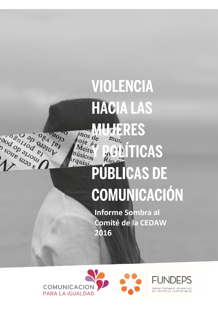# VIOLENCIA **HACIA LAS MUJERES** inos de  $m_{U}$ **AITICAS** quisi PÚBLICAS DE COMUNICACIÓN

**Informe Sombra al** Comité de la CEDAW 2016



Manufactures of the poor of

cuolo

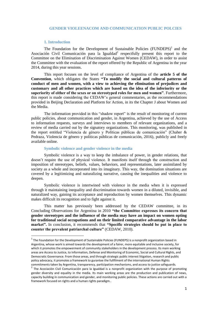# **GENDER VIOLEENACOM AND COMMUNICATION PUBLIC POLCIES**

#### **1. Introduction**

**.** 

The Foundation for the Development of Sustainable Policies  $(FUNDEPS)^1$  and the Asociación Civil Comunicación para la Igualdad<sup>2</sup> respectfully present this report to the Committee on the Elimination of Discrimination Against Women (CEDAW), in order to assist the Committee with the evaluation of the report offered by the Republic of Argentina in the year 2014, during this year sessions.

This report focuses on the level of compliance of Argentina of the **article 5 of the Convention**, which obligates the States **"To modify the social and cultural patterns of conduct of men and women, with a view to achieving the elimination of prejudices and customary and all other practices which are based on the idea of the inferiority or the superiority of either of the sexes or on stereotyped roles for men and women"**. Furthermore, this report is made considering the CEDAW's general commentaries, as the recommendations provided in Beijing Declaration and Platform for Action, in its the Chapter J about Women and the Media.

The information provided in this "shadow report" is the result of monitoring of current public policies, about communication and gender, in Argentina, achieved by the use of Access to information requests, surveys and interviews to members of relevant organizations, and a review of media carried out by the signatory organizations. This monitoring, was published in the report entitled "Violencia de género y Políticas públicas de comunicación" (Chaher & Pedraza, Violencia de género y políticas públicas de comunicación, 2016), publicly and freely available online.

## **Symbolic violence and gender violence in the media**

Symbolic violence is a way to keep the imbalance of power, in gender relations, that doesn't require the use of physical violence. It manifests itself through the construction and imposition of stereotypes, beliefs, values, behaviors, and representations, later assimilated by society as a whole and incorporated into its imaginary. This way, the domination situations are covered by a legitimizing and naturalizing narrative, causing the inequalities and violence to deepen.

Symbolic violence is intertwined with violence in the media when it is expressed through it maintaining inequality and discrimination towards women in a diluted, invisible, and naturalized way, gaining its acceptance and reproduction by women themselves. This dynamic makes difficult its recognition and to fight against it.

This matter has previously been addressed by the CEDAW committee, in its Concluding Observations for Argentina in 2010 **"the Committee expresses its concern that gender stereotypes and the influence of the media may have an impact on women opting for traditional social occupations and on their limited comparative advantage in the labor market".** In conclusion, it recommends that **"Specific strategies should be put in place to counter the prevalent patriarchal culture"** (CEDAW, 2010).

 $^1$  The Foundation for the Development of Sustainable Policies (FUNDEPS) is a nonprofit organization based in Argentina, whose work is aimed towards the development of a fairer, more equitable and inclusive society, for which it promotes the empowerment of community stakeholders in the development process. Its main working areas are Access to Justice, to Information, Defense and Monitoring of Economic, Social and Cultural Rights, and Democratic Governance. From those areas, and through strategic public interest litigation, research and public policy advocacy, it promotes a framework to gurantee the fullfilment of the international Human Rights commitments taken by Argentina, transparency, participation mechanisms, and access to justice safeguards.

<sup>&</sup>lt;sup>2</sup> The Acociación Civil Comunicación para la Igualdad is a nonprofit organization with the purpose of promoting gender diversity and equality in the media. Its main working areas are the production and publication of news, capacity building in communication and gender, and monitoring public policies. These actions are carried out with a framework focused on rights and a human rights paradigm..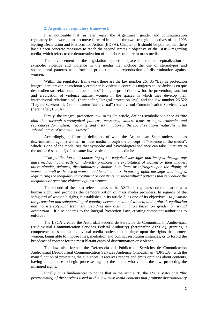#### **2. Argentinean regulatory framework**

It is noticeable that, in later years, the Argentinean gender and communication regulatory framework, aims to move forward in one of the two strategic objectives of the 1995 Beijing Declaration and Platform for Action (BDPA), Chapter J. It should be pointed that there hasn't been concrete measures to reach the second strategic objective of the BDPA regarding media, which refers to the democratization of the labor structure in mass media.

The advancement in the legislation opened a space for the conceptualization of symbolic violence and violence in the media that include the use of stereotypes and sociocultural patterns as a form of production and reproduction of discrimination against women.

Within the regulatory framework there are the law number 26.485 "Ley de protección integral para prevenir sancionar y erradicar la violencia contra las mujeres en los ámbitos en que desarrollen sus relaciones interpersonales" (Integral protection law for the prevention, sanction and eradication of violence against women in the spaces in which they develop their interpersonal relationships), (hereinafter, Integral protection law), and the law number 26.522 "Ley de Servicios de Comunicación Audiovisual" (Audiovisual Communication Services Law) (hereinafter, LSCA)

Firstly, the integral protection law, in its 5th article, defines symbolic violence as "*the kind that through stereotypical patterns, messages, values, icons or signs transmits and reproduces domination, inequality, and discrimination in the social relations, naturalizing the subordination of women in society"*

Accordingly, it forms a definition of what the Argentinean State understands as discrimination against women in mass media through the concept of "violence in the media", which is one of the modalities that symbolic and psychological violence can take. Pursuant to the article 6 section f) of the same law, violence in the media is:

"*The publication or broadcasting of stereotypical messages and images, through any mass media, that directly or indirectly promotes the exploitation of women or their images, utters slander, defames, discriminates, dishonor, humiliates or infringes upon the dignity of women, as well as the use of women, and female minors, in pornographic messages and images, legitimizing the inequality in treatment or constructing sociocultural patterns that reproduce the inequality or generate violence against women*".

The second of the most relevant laws is the ASCL; it regulates communication as a human right, and promotes the democratization of mass media providers. In regards of the safeguard of women's rights, it establishes in its article 3, as one of its objectives *"to promote the protection and safeguarding of equality between men and women, and a plural, egalitarian and non-stereotypical treatment, avoiding any discrimination based on gender or sexual orientation*". It also adheres to the Integral Protection Law, creating competent authorities to enforce it.

The LSCA created the Autoridad Federal de Servicios de Comunicación Audiovisual (Audiovisual Communication Services Federal Authority) (hereinafter AFSCA), granting it competence to sanction audiovisual media outlets that infringe upon the rights that protect women, being able to impose fines, mediation and conflict resolution instances, or to forbid the broadcast of content for the most blatant cases of discrimination or violence.

The law also formed the Defensoría del Público de Servicios de Comunicación Audiovisual (Audiovisual Communication Services Audience Ombudsman) (DPSCA), with the main function of protecting the audiences, it receives reports and emits opinions about contents, having competence to begin processes against the media who violate the law, protecting the infringed rights.

Finally, it is fundamental to notice that in the article 70, the LSCA states that "*the programming of the services listed in this law must avoid contents that promote discriminatory*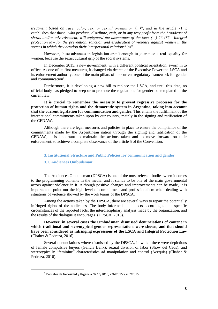*treatment based on race, color, sex, or sexual orientation (…)*", and in the article 71 it establishes that those "*who produce, distribute, emit, or in any way profit from the broadcast of shows and/or advertisement, will safeguard the observance of the laws (…) 26.485 - Integral protection law for the prevention, sanction and eradication of violence against women in the spaces in which they develop their interpersonal relationships*".

However, these advances in legislation aren't enough to guarantee a real equality for women, because the sexist cultural grip of the social systems.

In December 2015, a new government, with a different political orientation, sworn in to office. As one of its first measures, it changed via decree of the Executive Power the LSCA and its enforcement authority, one of the main pillars of the current regulatory framework for gender and communication<sup>3</sup>.

Furthermore, it is developing a new bill to replace the LSCA, and until this date, no official body has pledged to keep or to promote the regulations for gender contemplated in the current law.

**It is crucial to remember the necessity to prevent regressive processes for the protection of human rights and the democratic system in Argentina, taking into account that the current legislation for communication and gender.** This entails the fulfillment of the international commitments taken upon by our country, mainly in the signing and ratification of the CEDAW.

Although there are legal measures and policies in place to ensure the compliance of the commitments made by the Argentinean nation through the signing and ratification of the CEDAW, it is important to maintain the actions taken and to move forward on their enforcement, to achieve a complete observance of the article 5 of the Convention.

## **3. Institutional Structure and Public Policies for communication and gender**

#### **3.1. Audiences Ombudsman:**

**.** 

The Audiences Ombudsman (DPSCA) is one of the most relevant bodies when it comes to the programming contents in the media, and it stands to be one of the main governmental actors against violence in it. Although positive changes and improvements can be made, it is important to point out the high level of commitment and professionalism when dealing with situations of violence showed by the work teams of the DPSCA.

Among the actions taken by the DPSCA, there are several ways to repair the potentially infringed rights of the audiences. The body informed that it acts according to the specific circumstances of the reported facts, the interdisciplinary analysis made by the organization, and the results of the dialogue it encourages (DPSCA, 2013).

**However, in several cases the Ombudsman dismissed denunciations of content in which traditional and stereotypical gender representations were shown, and that should have been considered as [infringing](https://www.google.com.ar/search?q=infringing&spell=1&sa=X&ved=0ahUKEwjdyqfW06DPAhWMkJAKHWIeCwAQvwUIGSgA) expressions of the LSCA and Integral Protection Law** (Chaher & Pedraza, 2016).

Several denunciations where dismissed by the DPSCA, in which there were depictions of female compulsive buyers (Galicia Bank); sexual division of labor (Show del Caos); and stereotypically "feminine" characteristics ad manipulation and control (Acequia) (Chaher & Pedraza, 2016).

<sup>&</sup>lt;sup>3</sup> Decretos de Necesidad y Urgencia № 13/2015, 236/2015 y 267/2015.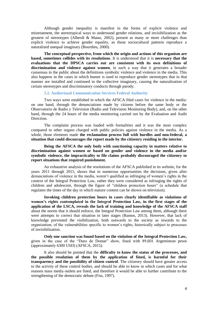Although gender inequality is manifest in the forms of explicit violence and mistreatment, the stereotypical ways to understand gender relations, and invisibilization as the greatest of stereotypes (Alberdi & Matas, 2002), present as many or more challenges than explicit violence to achieve gender equality, as those sociocultural patterns reproduce a naturalized unequal imaginary (Bourdieu, 2000).

**The conceptual perspective, from which the origin and actions of this organism are based, sometimes collides with its resolutions**. It is understood that it is **necessary that the evaluations that the DPSCA carries out are consistent with its own definitions of discrimination and violence against women**, in such a way that it generates a broader consensus in the public about the definitions symbolic violence and violence in the media. This also happens in the cases in which humor is used to reproduce gender stereotypes that in that manner are installed and continued in the collective imaginary, causing the naturalization of certain stereotypes and discriminatory conducts through parody.

# **3.2. Audiovisual Communication Services Federal Authority**

Two ways were established in which the AFSCA filed cases for violence in the media: on one hand, through the denunciations made by citizens before the same body or the Observatorio de Radio y Television (Radio and Television Monitoring Body), and, on the other hand, through the 24 hours of the media monitoring carried out by the Evaluation and Audit Direction.

The complaint process was loaded with formalities and it was the most complex compared to other organs charged with public policies against violence in the media. As a whole, those elements made **the reclamation process full with hurdles and non-federal, a situation that could discourages the report made by the citizenry residing in the interior.**

**Being the AFSCA the only body with sanctioning capacity in matters relative to discrimination against women or based on gender and violence in the media and/or symbolic violence, the impracticality to file claims probably discouraged the citizenry to report situations that required punishment.**

An exhaustive analysis of the resolutions of the AFSCA published in its website, for the years 2011 through 2015, shows that in numerous opportunities the decisions, given after denunciations of violence in the media, weren't qualified as infringing of women's rights in the context of the Integral Protection Law, rather they were considered as infringing the rights of children and adolescent, through the figure of "children protection hours" (a schedule that regulates the times of the day in which mature content can be shown on television).

**Invoking children protection hours in cases clearly identifiable as violations of women's rights contemplated in the Integral Protection Law, in the first stages of the application of the LSCA, reveals the lack of training and knowledge of the AFSCA staff** about the norms that it should enforce, the Integral Protection Law among them, although there were attempts to correct that situation in later stages (Ramos, 2013). However, that lack of knowledge prevented the visibilization, both outwards to the society as inwards to the organization, of the vulnerabilities specific to women's rights, historically subject to processes of invisibilization.

**Only one sanction was found based on the violation of the Integral Protection Law,** given in the case of the "Duro de Domar" show, fined with 89,601 Argentinean pesos (approximately 6300 USD) (AFSCA, 2015).

It also should be pointed that the **difficulty to know the status of the processes, and the possible resolution of them by the application of fined, is harmful for their transparency and the possibility of citizen control**. The citizenry should have greater access to the activity of these control bodies, and should be able to know in which cases and for what reasons mass media outlets are fined, and therefore it would be able to further contribute to the strengthening of the democratic debate (Fiss, 1997).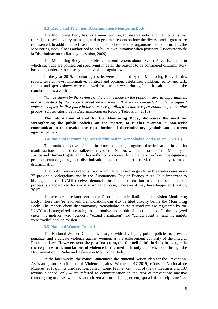### **3.3. Radio and Television Discrimination Monitoring Body**

The Monitoring Body has, as a main function, to observe radio and TV contents that reproduce discriminatory messages, and to generate reports on how the diverse social groups are represented. In addition to act based on complaints before other organisms that coordinate it, the Monitoring Body also is authorized to act by its own initiative when pertinent (Observatorio de la Discriminación en Radio y televisión, 2009).

The Monitoring Body also published several reports about "Sexist Advertisement", in which such ads are pointed out specifying in detail the reasons to be considered discriminatory based on gender or to cause symbolic violence against women.

In the year 2015, monitoring results were published by the Monitoring Body. In this report, several news, informative, political and opinion, celebrities, children, reality and talk, fiction, and sports shows were reviewed for a whole week during June. In said document the conclusion is stated that:

"[...] *as shown by the reviews of the claims made by the public in several opportunities, and as verified by the reports about advertisement that we've conducted, violence against women occupies the first place in the screens regarding to negative representation of vulnerable groups*" (Observatorio de la Discriminación en Radio y Televisión, 2015)

**The information offered by the Monitoring Body, showcases the need for strengthening the public policies on the matter, to further promote a non-sexist communication that avoids the reproduction of discriminatory symbols and patterns against women.**

**3.4. National Institute against Discrimination, Xenophobia, and Racism (INADI)**

The main objective of this institute is to fight against discrimination in all its manifestations. It is a decentralized entity of the Nation, within the orbit of the Ministry of Justice and Human Rights, and it has authority to receive denunciations, perform investigations, promote campaigns against discrimination, and to support the victims of any form of discrimination.

The INADI receives reports for discrimination based on gender in the media cases in its 23 provincial delegations and in the Autonomous City of Buenos Aires. It is important to highlight that the INADI receives denunciations for discrimination in general, so the report process is standardized for any discrimination case, wherever it may have happened (INADI, 2015).

These reports are later sent to the Discrimination in Radio and Television Monitoring Body, where they're resolved. Denunciations can also be filed directly before the Monitoring Body. The reports about discriminatory, xenophobic or racist conducts are registered by the INADI and categorized according to the motive and ambit of discrimination. In the analyzed cases, the motives were "gender", "sexual orientation" and "gender identity" and the ambits were "radio" and "television".

# **3.5. National Women Council**

The National Women Council is charged with developing public policies to prevent, penalize, and eradicate violence against women, as the enforcement authority of the Integral Protection Law. **However, over the past few years, the Council didn't include in its agenda the response to denunciations of violence in the media.** It only channels them through the Discrimination in Radio and Television Monitoring Body.

In the later weeks, the council announced the National Action Plan for the Prevention, Assistance, and Eradication of Violence against Women 2017-2019, (Consejo Nacional de Mujeres, 2016). In its third section, called "Logic Framework", out of the 69 measures and 137 actions planned, only 4 are referred to communication in the area of prevention: massive campaigning to raise awareness and citizen action and engagement; spread of the help Line 144;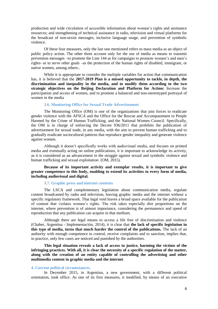production and wide circulation of accessible information about women's rights and assistance resources; and strengthening of technical assistance in radio, television and virtual platforms for the broadcast of non-sexist messages, inclusive language usage, and prevention of symbolic violence.

Of these four measures, only the last one mentioned refers to mass media as an object of public policy action. The other three account only for the use of media as means to transmit prevention messages –to promote the Line 144 as for campaigns to promote women's and men's rights- or to serve other goals –as the protection of the human rights of disabled, immigrant, or native women, among others-.

While it is appropriate to consider the multiple variables for action that communication has, it is believed that the **2017-2019 Plan is a missed opportunity to tackle, in depth, the discrimination and inequality in the media, and to modify them according to the two strategic objectives on the Beijing Declaration and Platform for Action:** Increase the participation and access of women, and to promote a balanced and non-stereotyped portrayal of women in the media

# **3.6. Monitoring Office for Sexual Trade Advertisement**

The Monitoring Office (OM) is one of the organizations that join forces to eradicate gender violence with the AFSCA and the Office for the Rescue and Accompaniment to People Harmed by the Crime of Human Trafficking, and the National Women Council. Specifically, the OM is in charge of enforcing the Decree 936/2011 that prohibits the publication of advertisement for sexual trade, in any media, with the aim to prevent human trafficking and to gradually eradicate sociocultural patterns that reproduce gender inequality and generate violence against women.

Although it doesn't specifically works with audiovisual media, and focuses on printed media and eventually acting on online publications, it is important to acknowledge its activity, as it is considered as an advancement in the struggle against sexual and symbolic violence and human trafficking and sexual exploitation (OM, 2015).

# **Because of its important activity and exemplar results, it is important to give greater competence to this body, enabling to extend its activities to every form of media, including audiovisual and digital.**

# **3.7. Graphic press and internet contents**

The LSCA and complementary legislation about communication media, regulate content broadcasted by radio and television, leaving graphic media and the internet without a specific regulatory framework. That legal void leaves a broad space available for the publication of content that violates women's rights. The risk takes especially dire proportions on the internet, where prevention is of utmost importance, considering the permanence and speed of reproduction that any publication can acquire in that medium.

Although there are legal means to access a life free of discrimination and violence (Chaher, Argentina - Implementación, 2014), it is clear that **the lack of specific legislation in this type of media, turns that much harder the control of the publications.** The lack of an authority with enough competence to control, receive complaints and to sanction, implies that, in practice, only few cases are noticed and punished by the authorities.

**This legal situation reveals a lack of access to justice, harming the victims of the infringing practices. With all, it is clear the necessity of a specific regulation of the matter, along with the creation of an entity capable of controlling the advertising and other multimedia content in graphic media and the internet**

#### **4. Current political circumstances.**

In December 2015, in Argentina, a new government, with a different political orientation, took office. As one of its first measures, it modified, by means of an executive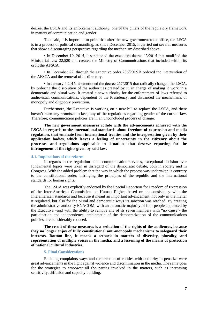decree, the LSCA and its enforcement authority, one of the pillars of the regulatory framework in matters of communication and gender.

That said, it is important to point that after the new government took office, the LSCA is in a process of political dismantling, as since December 2015, it carried out several measures that show a discouraging perspective regarding the mechanism described above:

• In December 10, 2015, it sanctioned the executive decree 13/2015 that modified the Ministerial Law 22,520 and created the Ministry of Communications that included within its orbit the AFSCA.

• In December 22, through the executive order 236/2015 it ordered the intervention of the AFSCA and the removal of its directory.

• In January 4 2016, it sanctioned the decree 267/2015 that radically changed the LSCA, by ordering the dissolution of the authorities created by it, in charge of making it work in a democratic and plural way. It created a new authority for the enforcement of laws referred to audiovisual communications, dependent of the Presidency, and disbanded the mechanisms of monopoly and oligopoly prevention.

Furthermore, the Executive is working on a new bill to replace the LSCA, and there haven't been any promises to keep any of the regulations regarding gender of the current law. Therefore, communication policies are in an unconcluded process of change.

**The new government measures collide with the advancements achieved with the LSCA in regards to the international standards about freedom of expression and media regulation, that emanate from international treaties and the interpretation given by their application bodies, which leaves a feeling of uncertainty in the citizenry about the processes and regulations applicable in situations that deserve reporting for the infringement of the rights given by said law.**

#### **4.1. Implications of the reform**

In regards to the regulation of telecommunication services, exceptional decision over fundamental topics were taken in disregard of the democratic debate, both in society and in Congress. With the added problem that the way in which the process was undertaken is contrary to the constitutional order, infringing the principles of the republic and the international standards for human rights.

The LSCA was explicitly endorsed by the Special Raporteur for Freedom of Expression of the Inter-American Commission on Human Rights, based on its consistency with the Interamerican standards and because it meant an important advancement, not only in the matter it regulated, but also for the plural and democratic ways its sanction was reached. By creating the administrative authority ENACOM, with an automatic majority of four people appointed by the Executive –and with the ability to remove any of its seven members with "no cause"- the participation and independence, emblematic of the democratization of the communications policies, are considerably reduced.

**The result of these measures is a reduction of the rights of the audiences, because they no longer enjoy of fully constitutional anti-monopoly mechanisms to safeguard their interests. Bottom line, it means a setback in matters of diversity, plurality, and representation of multiple voices in the media, and a lessening of the means of protection of national cultural industries.**

# **5. Final Considerations**

Enabling complaints ways and the creation of entities with authority to penalize were great advancements in the fight against violence and discrimination in the media. The same goes for the strategies to empower all the parties involved in the matters, such as increasing sensitivity, diffusion and capacity building.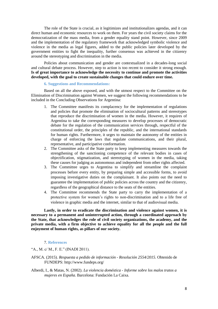The role of the State is crucial, as it legitimizes and institutionalizes agendas, and it can direct human and economic resources to work on them. For years the civil society claims for the democratization of the mass media, from a gender equality stand point. However, since 2009 and the implementation of the regulatory framework that acknowledged symbolic violence and violence in the media as legal figures, added to the public policies later developed by the government entities to fight the inequality, further consensus was achieved in the citizenry around the stereotyping and discrimination in the media.

Policies about communication and gender are contextualized in a decades-long social and cultural debate process. However, step to action is too recent to consider it strong enough. **Is of great importance to acknowledge the necessity to continue and promote the activities developed, with the goal to create sustainable changes that could endure over time.**

## **6. Suggestions and Recommendations:**

Based on all the above exposed, and with the utmost respect to the Committee on the Elimination of Discrimination against Women, we suggest the following recommendations to be included in the Concluding Observations for Argentina:

- 1. The Committee manifests its complacency for the implementation of regulations and policies that promote the elimination of sociocultural patterns and stereotypes that reproduce the discrimination of women in the media. However, it requires of Argentina to take the corresponding measures to develop processes of democratic debate for the regulation of the communication services through, respectful of the constitutional order, the principles of the republic, and the international standards for human rights. Furthermore, it urges to maintain the autonomy of the entities in charge of enforcing the laws that regulate communications, and their plural, representative, and participative conformation.
- 2. The Committee asks of the State party to keep implementing measures towards the strengthening of the sanctioning competence of the relevant bodies in cases of objectification, stigmatization, and stereotyping of women in the media, taking these causes for judging as autonomous and independent from other rights affected.
- 3. The Committee urges to Argentina to simplify and streamline the complaint processes before every entity, by preparing simple and accessible forms, to avoid imposing investigative duties on the complainant. It also points out the need to guarantee the implementation of public policies across the country and the citizenry, regardless of the geographical distance to the seats of the entities.
- 4. The Committee recommends the State party to carry the implementation of a protective system for women's rights to non-discrimination and to a life free of violence in graphic media and the internet, similar to that of audiovisual media.

**Lastly, in order to eradicate the discrimination and violence against women, it is necessary to a permanent and uninterrupted action, through a coordinated approach by the State, that acknowledges the role of civil society organizations, the academy, and the private media, with a firm objective to achieve equality for all the people and the full enjoyment of human rights, as pillars of our society.**

#### 7. **References**

"A., M. c/ M., F. E." (INADI 2011).

- AFSCA. (2015). *Respuesta a pedido de información - Resolución 2554/2015.* Obtenido de FUNDEPS: http://www.fundeps.org/
- Alberdi, I., & Matas, N. (2002). *La violencia doméstica - Informe sobre los malos tratos a mujeres en España.* Barcelona: Fundación La Caixa.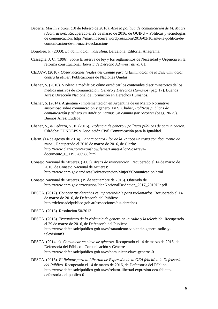- Becerra, Martín y otros. (10 de febrero de 2016). *Ante la política de comunicación de M. Macri (declaración).* Recuperado el 29 de marzo de 2016, de QUIPU ~ Políticas y tecnologías de comunicación: https://martinbecerra.wordpress.com/2016/02/10/ante-la-politica-decomunicacion-de-m-macri-declaracion/
- Bourdieu, P. (2000). *La dominación masculina.* Barcelona: Editorial Anagrama.
- Cassagne, J. C. (1996). Sobre la reserva de ley y los reglamentos de Necesidad y Urgencia en la reforma constitucional. *Revista de Derecho Administrativo*, 61.
- CEDAW. (2010). *Observaciones finales del Comité para la Eliminación de la Discriminación contra la Mujer.* Publicaciones de Naciones Unidas.
- Chaher, S. (2010). Violencia mediática: cómo erradicar los contenidos discriminatorios de los medios masivos de comunicación. *Género y Derechos Humanos* (pág. 17). Buenos Aires: Dirección Nacional de Formación en Derechos Humanos.
- Chaher, S. (2014). Argentina Implementación en Argentina de un Marco Normativo auspicioso sobre comunicación y género. En S. Chaher, *Políticas públicas de comunicación y género en América Latina: Un camino por recorrer* (págs. 20-29). Buenos Aires: Eudeba.
- Chaher, S., & Pedraza, V. E. (2016). *Violencia de género y políticas públicas de comunicación.* Córdoba: FUNDEPS y Asociación Civil Comunicación para la Igualdad.
- Clarín. (14 de agosto de 2014). *Lanata contra Flor de la V: "Sos un trava con documento de mina".* Recuperado el 2016 de marzo de 2016, de Clarín: http://www.clarin.com/extrashow/fama/Lanata-Flor-Sos-travadocumento\_0\_1193280988.html
- Consejo Nacional de Mujeres. (2003). *Áreas de Intervención*. Recuperado el 14 de marzo de 2016, de Consejo Nacional de Mujeres: http://www.cnm.gov.ar/AreasDeIntervencion/MujerYComunicacion.html
- Consejo Nacional de Mujeres. (19 de septiembre de 2016). Obtenido de http://www.cnm.gov.ar/recursos/PlanNacionalDeAccion\_2017\_2019Ult.pdf
- DPSCA. (2012). *Conocer tus derechos es imprescindible para reclamarlos*. Recuperado el 14 de marzo de 2016, de Defensoría del Público: http://defensadelpublico.gob.ar/es/secciones/tus-derechos
- DPSCA. (2013). Resolucion 50/2013.
- DPSCA. (2013). *Tratamiento de la violencia de género en la radio y la televisión*. Recuperado el 29 de marzo de 2016, de Defensoría del Público: http://www.defensadelpublico.gob.ar/es/tratamiento-violencia-genero-radio-ytelevision#3
- DPSCA. (2014, a). *Comunicar en clave de géneros*. Recuperado el 14 de marzo de 2016, de Defensoría del Público - Comunicación y Género: http://www.defensadelpublico.gob.ar/es/comunicar-clave-generos-0
- DPSCA. (2015). *El Relator para la Libertad de Expresión de la OEA felicitó a la Defensoría del Público*. Recuperado el 14 de marzo de 2016, de Defensoría del Público: http://www.defensadelpublico.gob.ar/es/relator-libertad-expresion-oea-felicitodefensoria-del-publico-0